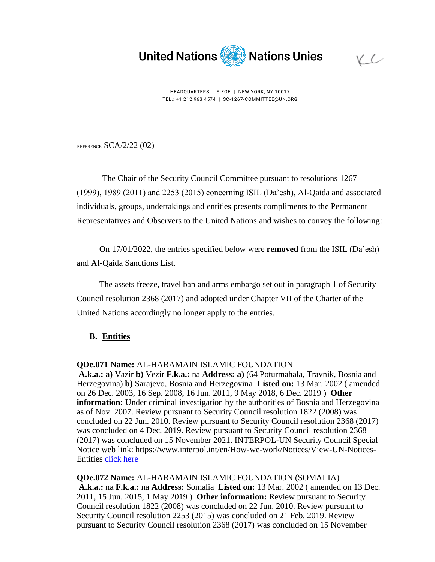

 $VC$ 

HEADQUARTERS | SIEGE | NEW YORK, NY 10017 TEL.: +1 212 963 4574 | SC-1267-COMMITTEE@UN.ORG

REFERENCE:  $SCA/2/22$  (02)

The Chair of the Security Council Committee pursuant to resolutions 1267 (1999), 1989 (2011) and 2253 (2015) concerning ISIL (Da'esh), Al-Qaida and associated individuals, groups, undertakings and entities presents compliments to the Permanent Representatives and Observers to the United Nations and wishes to convey the following:

On 17/01/2022, the entries specified below were **removed** from the ISIL (Da'esh) and Al-Qaida Sanctions List.

The assets freeze, travel ban and arms embargo set out in paragraph 1 of Security Council resolution 2368 (2017) and adopted under Chapter VII of the Charter of the United Nations accordingly no longer apply to the entries.

## **B. Entities**

## **QDe.071 Name:** AL-HARAMAIN ISLAMIC FOUNDATION

**A.k.a.: a)** Vazir **b)** Vezir **F.k.a.:** na **Address: a)** (64 Poturmahala, Travnik, Bosnia and Herzegovina) **b)** Sarajevo, Bosnia and Herzegovina **Listed on:** 13 Mar. 2002 ( amended on 26 Dec. 2003, 16 Sep. 2008, 16 Jun. 2011, 9 May 2018, 6 Dec. 2019 ) **Other information:** Under criminal investigation by the authorities of Bosnia and Herzegovina as of Nov. 2007. Review pursuant to Security Council resolution 1822 (2008) was concluded on 22 Jun. 2010. Review pursuant to Security Council resolution 2368 (2017) was concluded on 4 Dec. 2019. Review pursuant to Security Council resolution 2368 (2017) was concluded on 15 November 2021. INTERPOL-UN Security Council Special Notice web link: https://www.interpol.int/en/How-we-work/Notices/View-UN-Notices-Entities [click here](https://www.interpol.int/en/How-we-work/Notices/View-UN-Notices-Entities)

**QDe.072 Name:** AL-HARAMAIN ISLAMIC FOUNDATION (SOMALIA) **A.k.a.:** na **F.k.a.:** na **Address:** Somalia **Listed on:** 13 Mar. 2002 ( amended on 13 Dec. 2011, 15 Jun. 2015, 1 May 2019 ) **Other information:** Review pursuant to Security Council resolution 1822 (2008) was concluded on 22 Jun. 2010. Review pursuant to Security Council resolution 2253 (2015) was concluded on 21 Feb. 2019. Review pursuant to Security Council resolution 2368 (2017) was concluded on 15 November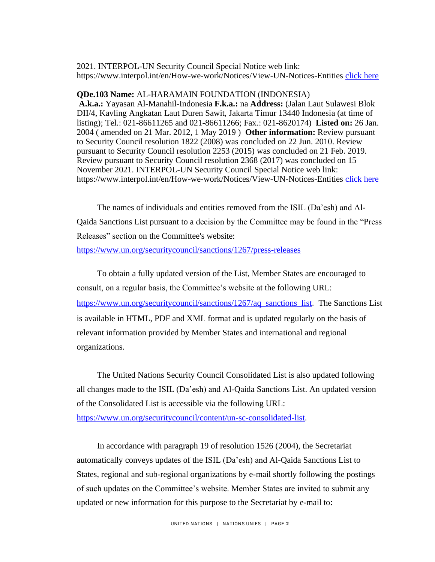2021. INTERPOL-UN Security Council Special Notice web link: https://www.interpol.int/en/How-we-work/Notices/View-UN-Notices-Entities [click here](https://www.interpol.int/en/How-we-work/Notices/View-UN-Notices-Entities)

## **QDe.103 Name:** AL-HARAMAIN FOUNDATION (INDONESIA)

**A.k.a.:** Yayasan Al-Manahil-Indonesia **F.k.a.:** na **Address:** (Jalan Laut Sulawesi Blok DII/4, Kavling Angkatan Laut Duren Sawit, Jakarta Timur 13440 Indonesia (at time of listing); Tel.: 021-86611265 and 021-86611266; Fax.: 021-8620174) **Listed on:** 26 Jan. 2004 ( amended on 21 Mar. 2012, 1 May 2019 ) **Other information:** Review pursuant to Security Council resolution 1822 (2008) was concluded on 22 Jun. 2010. Review pursuant to Security Council resolution 2253 (2015) was concluded on 21 Feb. 2019. Review pursuant to Security Council resolution 2368 (2017) was concluded on 15 November 2021. INTERPOL-UN Security Council Special Notice web link: https://www.interpol.int/en/How-we-work/Notices/View-UN-Notices-Entities [click here](https://www.interpol.int/en/How-we-work/Notices/View-UN-Notices-Entities)

The names of individuals and entities removed from the ISIL (Da'esh) and Al-Qaida Sanctions List pursuant to a decision by the Committee may be found in the "Press Releases" section on the Committee's website:

<https://www.un.org/securitycouncil/sanctions/1267/press-releases>

To obtain a fully updated version of the List, Member States are encouraged to consult, on a regular basis, the Committee's website at the following URL: [https://www.un.org/securitycouncil/sanctions/1267/aq\\_sanctions\\_list](https://www.un.org/securitycouncil/sanctions/1267/aq_sanctions_list). The Sanctions List is available in HTML, PDF and XML format and is updated regularly on the basis of relevant information provided by Member States and international and regional organizations.

The United Nations Security Council Consolidated List is also updated following all changes made to the ISIL (Da'esh) and Al-Qaida Sanctions List. An updated version of the Consolidated List is accessible via the following URL:

[https://www.un.org/securitycouncil/content/un-sc-consolidated-list.](https://www.un.org/securitycouncil/content/un-sc-consolidated-list)

In accordance with paragraph 19 of resolution 1526 (2004), the Secretariat automatically conveys updates of the ISIL (Da'esh) and Al-Qaida Sanctions List to States, regional and sub-regional organizations by e-mail shortly following the postings of such updates on the Committee's website. Member States are invited to submit any updated or new information for this purpose to the Secretariat by e-mail to: